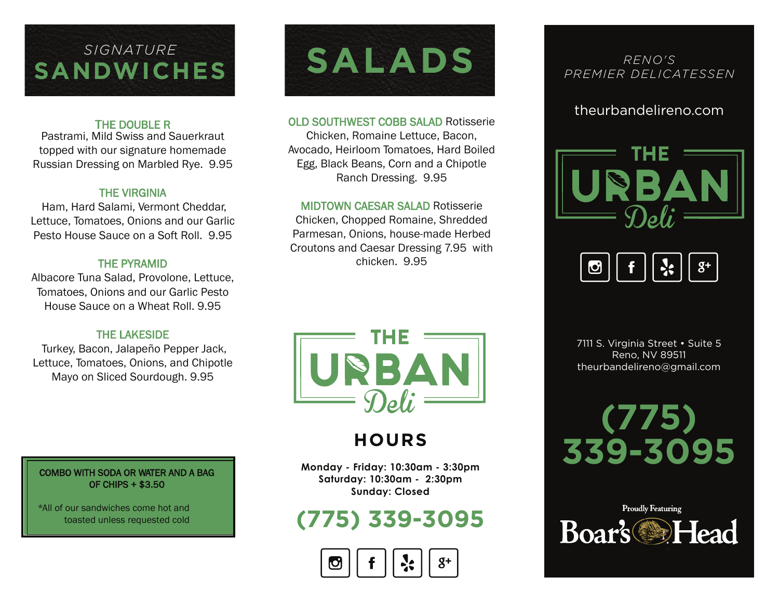# **SANDWICHES**

### THE DOUBLE R

Pastrami, Mild Swiss and Sauerkraut topped with our signature homemade Russian Dressing on Marbled Rye. 9.95

### THE VIRGINIA

 Ham, Hard Salami, Vermont Cheddar, Lettuce, Tomatoes, Onions and our Garlic Pesto House Sauce on a Soft Roll. 9.95

### THE PYRAMID

Albacore Tuna Salad, Provolone, Lettuce, Tomatoes, Onions and our Garlic Pesto House Sauce on a Wheat Roll. 9.95

### THE LAKESIDE

 Turkey, Bacon, Jalapeño Pepper Jack, Lettuce, Tomatoes, Onions, and Chipotle Mayo on Sliced Sourdough. 9.95

### COMBO WITH SODA OR WATER AND A BAG OF CHIPS + \$3.50

\*All of our sandwiches come hot and toasted unless requested cold



#### OLD SOUTHWEST COBB SALAD Rotisserie

Chicken, Romaine Lettuce, Bacon, Avocado, Heirloom Tomatoes, Hard Boiled Egg, Black Beans, Corn and a Chipotle Ranch Dressing. 9.95

#### MIDTOWN CAESAR SALAD Rotisserie

Chicken, Chopped Romaine, Shredded Parmesan, Onions, house-made Herbed Croutons and Caesar Dressing 7.95 with chicken. 9.95



### **HOURS**

**Monday - Friday: 10:30am - 3:30pm Saturday: 10:30am - 2:30pm Sunday: Closed**

### **(775) 339-3095**



### *RENO'S PREMIER DELICATESSEN*

### theurbandelireno.com





7111 S. Virginia Street • Suite 5 Reno, NV 89511 theurbandelireno@gmail.com